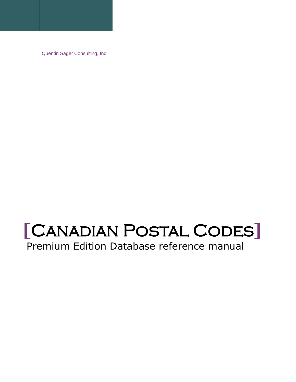Quentin Sager Consulting, Inc.

# **[**Canadian Postal Codes**]**

Premium Edition Database reference manual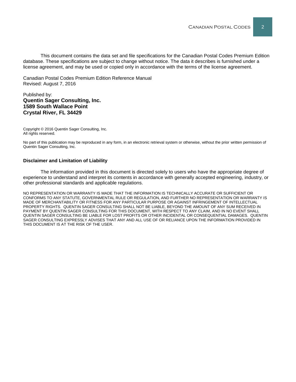This document contains the data set and file specifications for the Canadian Postal Codes Premium Edition database. These specifications are subject to change without notice. The data it describes is furnished under a license agreement, and may be used or copied only in accordance with the terms of the license agreement.

Canadian Postal Codes Premium Edition Reference Manual Revised: August 7, 2016

#### Published by: **Quentin Sager Consulting, Inc. 1589 South Wallace Point Crystal River, FL 34429**

Copyright © 2016 Quentin Sager Consulting, Inc. All rights reserved.

No part of this publication may be reproduced in any form, in an electronic retrieval system or otherwise, without the prior written permission of Quentin Sager Consulting, Inc.

#### **Disclaimer and Limitation of Liability**

The information provided in this document is directed solely to users who have the appropriate degree of experience to understand and interpret its contents in accordance with generally accepted engineering, industry, or other professional standards and applicable regulations.

NO REPRESENTATION OR WARRANTY IS MADE THAT THE INFORMATION IS TECHNICALLY ACCURATE OR SUFFICIENT OR CONFORMS TO ANY STATUTE, GOVERNMENTAL RULE OR REGULATION, AND FURTHER NO REPRESENTATION OR WARRANTY IS MADE OF MERCHANTABILITY OR FITNESS FOR ANY PARTICULAR PURPOSE OR AGAINST INFRINGEMENT OF INTELLECTUAL PROPERTY RIGHTS. QUENTIN SAGER CONSULTING SHALL NOT BE LIABLE, BEYOND THE AMOUNT OF ANY SUM RECEIVED IN PAYMENT BY QUENTIN SAGER CONSULTING FOR THIS DOCUMENT, WITH RESPECT TO ANY CLAIM, AND IN NO EVENT SHALL QUENTIN SAGER CONSULTING BE LIABLE FOR LOST PROFITS OR OTHER INCIDENTAL OR CONSEQUENTIAL DAMAGES. QUENTIN SAGER CONSULTING EXPRESSLY ADVISES THAT ANY AND ALL USE OF OR RELIANCE UPON THE INFORMATION PROVIDED IN THIS DOCUMENT IS AT THE RISK OF THE USER.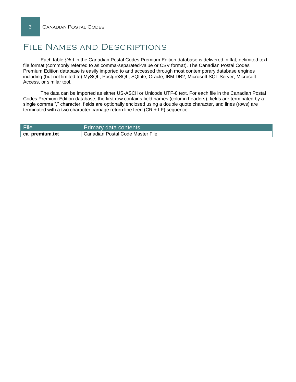## File Names and Descriptions

Each table *(file)* in the Canadian Postal Codes Premium Edition database is delivered in flat, delimited text file format (commonly referred to as comma-separated-value or CSV format). The Canadian Postal Codes Premium Edition database is easily imported to and accessed through most contemporary database engines including (but not limited to) MySQL, PostgreSQL, SQLite, Oracle, IBM DB2, Microsoft SQL Server, Microsoft Access, or similar tool.

The data can be imported as either US-ASCII or Unicode UTF-8 text. For each file in the Canadian Postal Codes Premium Edition database; the first row contains field names (column headers), fields are terminated by a single comma "," character, fields are optionally enclosed using a double quote character, and lines (rows) are terminated with a two character carriage return line feed (CR + LF) sequence.

| File           | <b>Primary data contents</b>     |
|----------------|----------------------------------|
| ca_premium.txt | Canadian Postal Code Master File |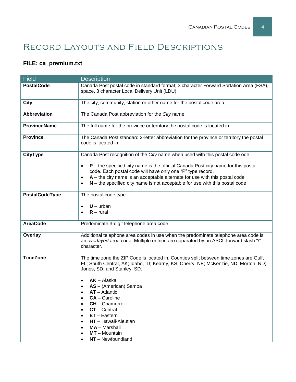# Record Layouts and Field Descriptions

## **FILE: ca\_premium.txt**

| <b>Field</b>        | <b>Description</b>                                                                                                                                                                                                                |  |  |  |
|---------------------|-----------------------------------------------------------------------------------------------------------------------------------------------------------------------------------------------------------------------------------|--|--|--|
| <b>PostalCode</b>   | Canada Post postal code in standard format; 3 character Forward Sortation Area (FSA),<br>space, 3 character Local Delivery Unit (LDU)                                                                                             |  |  |  |
| <b>City</b>         | The city, community, station or other name for the postal code area.                                                                                                                                                              |  |  |  |
| <b>Abbreviation</b> | The Canada Post abbreviation for the City name.                                                                                                                                                                                   |  |  |  |
| <b>ProvinceName</b> | The full name for the province or territory the postal code is located in                                                                                                                                                         |  |  |  |
| <b>Province</b>     | The Canada Post standard 2-letter abbreviation for the province or territory the postal<br>code is located in.                                                                                                                    |  |  |  |
| <b>CityType</b>     | Canada Post recognition of the City name when used with this postal code ode                                                                                                                                                      |  |  |  |
|                     | $P$ – the specified city name is the official Canada Post city name for this postal<br>$\bullet$<br>code. Each postal code will have only one "P" type record.                                                                    |  |  |  |
|                     | $A$ – the city name is an acceptable alternate for use with this postal code<br>$\bullet$<br>$N$ – the specified city name is not acceptable for use with this postal code                                                        |  |  |  |
| PostalCodeType      | The postal code type                                                                                                                                                                                                              |  |  |  |
|                     | $U - urban$<br>$R$ – rural                                                                                                                                                                                                        |  |  |  |
| <b>AreaCode</b>     | Predominate 3-digit telephone area code                                                                                                                                                                                           |  |  |  |
| Overlay             | Additional telephone area codes in use when the predominate telephone area code is<br>an overlayed area code. Multiple entries are separated by an ASCII forward slash "/"<br>character.                                          |  |  |  |
| <b>TimeZone</b>     | The time zone the ZIP Code is located in. Counties split between time zones are Gulf,<br>FL; South Central, AK; Idaho, ID; Kearny, KS; Cherry, NE; McKenzie, ND; Morton, ND;<br>Jones, SD; and Stanley, SD.                       |  |  |  |
|                     | $AK - Alaska$<br>AS - (American) Samoa<br><b>AT</b> – Atlantic<br><b>CA</b> – Caroline<br>CH - Chamorro<br>$CT - Central$<br>$ET - Eastern$<br>HT - Hawaii-Aleutian<br><b>MA</b> - Marshall<br>MT - Mountain<br>NT - Newfoundland |  |  |  |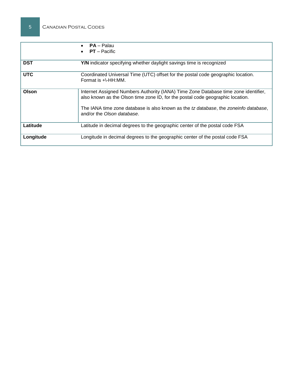|            | <b>PA</b> – Palau<br>$\bullet$<br>$PT - Pacific$                                                                                                                      |  |  |
|------------|-----------------------------------------------------------------------------------------------------------------------------------------------------------------------|--|--|
| <b>DST</b> | Y/N indicator specifying whether daylight savings time is recognized                                                                                                  |  |  |
| <b>UTC</b> | Coordinated Universal Time (UTC) offset for the postal code geographic location.<br>Format is $+ \cdot$ -HH:MM.                                                       |  |  |
| Olson      | Internet Assigned Numbers Authority (IANA) Time Zone Database time zone identifier,<br>also known as the Olson time zone ID, for the postal code geographic location. |  |  |
|            | The IANA time zone database is also known as the tz database, the zoneinfo database,<br>and/or the Olson database.                                                    |  |  |
| Latitude   | Latitude in decimal degrees to the geographic center of the postal code FSA                                                                                           |  |  |
| Longitude  | Longitude in decimal degrees to the geographic center of the postal code FSA                                                                                          |  |  |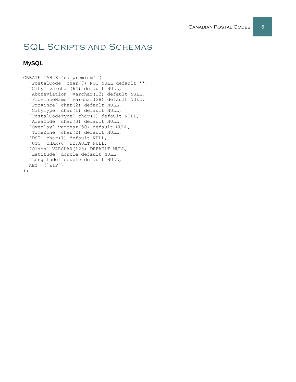# SQL Scripts and Schemas

### **MySQL**

```
CREATE TABLE `ca_premium` (
   `PostalCode` char(7) NOT NULL default '',
   `City` varchar(64) default NULL,
`Abbreviation` varchar(13) default NULL,
 `ProvinceName` varchar(28) default NULL,
   `Province` char(2) default NULL,
   `CityType` char(1) default NULL,
   `PostalCodeType` char(1) default NULL,
   `AreaCode` char(3) default NULL,
 `Overlay` varchar(50) default NULL,
 `TimeZone` char(2) default NULL,
   `DST` char(1) default NULL,
   `UTC` CHAR(6) DEFAULT NULL,
   `Olson` VARCHAR(128) DEFAULT NULL,
   `Latitude` double default NULL,
   `Longitude` double default NULL,
   KEY (`ZIP`)
);
```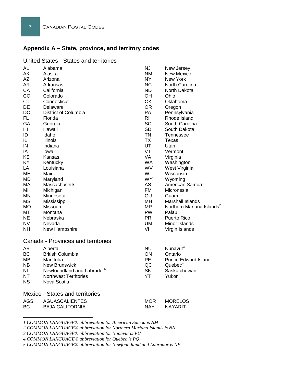## **Appendix A – State, province, and territory codes**

#### United States - States and territories

| AL<br>AK<br>AZ<br>AR<br>CA<br>CO<br><b>CT</b> | Alabama<br>Alaska<br>Arizona<br>Arkansas<br>California<br>Colorado | <b>NJ</b><br><b>NM</b><br>NY.<br><b>NC</b><br><b>ND</b><br>OH<br>OK | New Jersey<br><b>New Mexico</b><br><b>New York</b><br>North Carolina<br>North Dakota<br>Ohio |  |  |  |
|-----------------------------------------------|--------------------------------------------------------------------|---------------------------------------------------------------------|----------------------------------------------------------------------------------------------|--|--|--|
| DE                                            | Connecticut<br>Delaware                                            | <b>OR</b>                                                           | Oklahoma<br>Oregon                                                                           |  |  |  |
| <b>DC</b>                                     | District of Columbia                                               | PA                                                                  | Pennsylvania                                                                                 |  |  |  |
| FL.                                           | Florida                                                            | <b>RI</b>                                                           | Rhode Island                                                                                 |  |  |  |
| GA                                            | Georgia                                                            | <b>SC</b>                                                           | South Carolina                                                                               |  |  |  |
| ΗI                                            | Hawaii                                                             | <b>SD</b>                                                           | South Dakota                                                                                 |  |  |  |
| ID                                            | Idaho                                                              | <b>TN</b>                                                           | Tennessee                                                                                    |  |  |  |
| IL.                                           | Illinois                                                           | <b>TX</b>                                                           | Texas                                                                                        |  |  |  |
| IN                                            | Indiana                                                            | UT                                                                  | Utah                                                                                         |  |  |  |
| IA                                            | lowa                                                               | VT                                                                  | Vermont                                                                                      |  |  |  |
| KS                                            | Kansas                                                             | <b>VA</b>                                                           | Virginia                                                                                     |  |  |  |
| KY                                            | Kentucky                                                           | <b>WA</b>                                                           | Washington                                                                                   |  |  |  |
| LA                                            | Louisiana                                                          | WV                                                                  | West Virginia                                                                                |  |  |  |
| <b>ME</b>                                     | Maine                                                              | WI                                                                  | Wisconsin                                                                                    |  |  |  |
| <b>MD</b>                                     | Maryland                                                           | WY.                                                                 | Wyoming                                                                                      |  |  |  |
| MA                                            | Massachusetts                                                      | <b>AS</b>                                                           | American Samoa <sup>1</sup>                                                                  |  |  |  |
| MI                                            | Michigan                                                           | <b>FM</b>                                                           | Micronesia                                                                                   |  |  |  |
| ΜN                                            | Minnesota                                                          | GU                                                                  | Guam                                                                                         |  |  |  |
| <b>MS</b>                                     | Mississippi                                                        | MН                                                                  | Marshall Islands                                                                             |  |  |  |
| <b>MO</b>                                     | Missouri                                                           | <b>MP</b>                                                           | Northern Mariana Islands <sup>2</sup>                                                        |  |  |  |
| MT                                            | Montana                                                            | <b>PW</b>                                                           | Palau                                                                                        |  |  |  |
| NE.                                           | Nebraska                                                           | PR.                                                                 | Puerto Rico                                                                                  |  |  |  |
| <b>NV</b>                                     | Nevada                                                             | <b>UM</b>                                                           | Minor Islands                                                                                |  |  |  |
| NΗ                                            | New Hampshire                                                      | VI                                                                  | Virgin Islands                                                                               |  |  |  |
|                                               | Canada - Provinces and territories                                 |                                                                     |                                                                                              |  |  |  |
| AB                                            | Alberta                                                            | <b>NU</b>                                                           | Nunavut <sup>3</sup>                                                                         |  |  |  |
| <b>BC</b>                                     | <b>British Columbia</b>                                            | ON                                                                  | Ontario                                                                                      |  |  |  |
| MВ                                            | Manitoba                                                           | <b>PE</b>                                                           | <b>Prince Edward Island</b>                                                                  |  |  |  |
| NB.                                           | <b>New Brunswick</b>                                               | QC                                                                  | Quebec <sup>4</sup>                                                                          |  |  |  |
| <b>NL</b>                                     | Newfoundland and Labrador <sup>5</sup>                             | <b>SK</b>                                                           | Saskatchewan                                                                                 |  |  |  |
| <b>NT</b>                                     | <b>Northwest Territories</b>                                       | YT                                                                  | Yukon                                                                                        |  |  |  |
| <b>NS</b>                                     | Nova Scotia                                                        |                                                                     |                                                                                              |  |  |  |
|                                               | <b>Mexico - States and territories</b>                             |                                                                     |                                                                                              |  |  |  |
| <b>AGS</b>                                    | <b>AGUASCALIENTES</b>                                              | MOR                                                                 | <b>MORELOS</b>                                                                               |  |  |  |
| BC                                            | <b>BAJA CALIFORNIA</b>                                             | NAY.                                                                | NAYARIT                                                                                      |  |  |  |
|                                               |                                                                    |                                                                     |                                                                                              |  |  |  |

*1 COMMON LANGUAGE® abbreviation for American Samoa is AM*

*3 COMMON LANGUAGE® abbreviation for Nunavut is VU*

l

*<sup>2</sup> COMMON LANGUAGE® abbreviation for Northern Mariana Islands is NN*

*<sup>4</sup> COMMON LANGUAGE® abbreviation for Quebec is PQ*

*<sup>5</sup> COMMON LANGUAGE® abbreviation for Newfoundland and Labrador is NF*